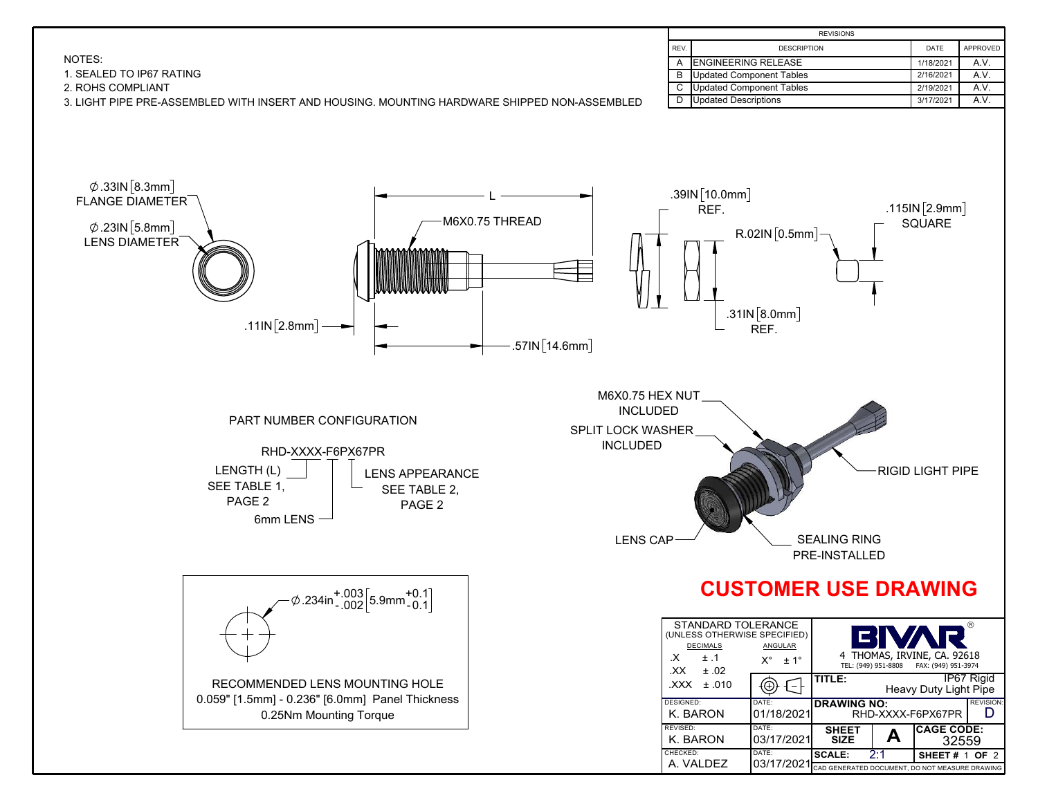